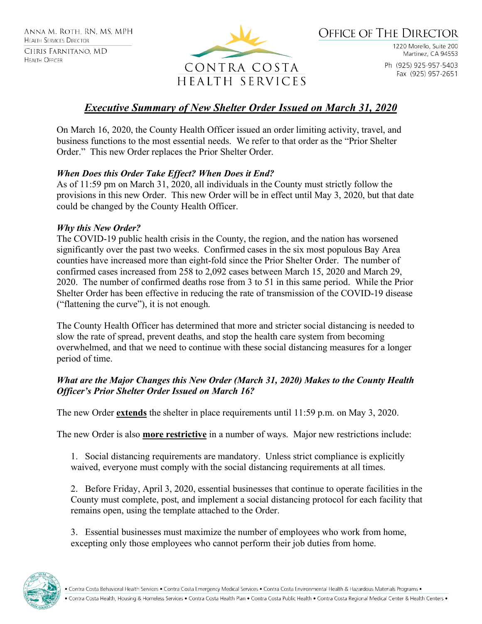

**OFFICE OF THE DIRECTOR** 

1220 Morello, Suite 200 Martinez, CA 94553 Ph (925) 925-957-5403 Fax (925) 957-2651

# *Executive Summary of New Shelter Order Issued on March 31, 2020*

On March 16, 2020, the County Health Officer issued an order limiting activity, travel, and business functions to the most essential needs. We refer to that order as the "Prior Shelter Order." This new Order replaces the Prior Shelter Order.

# *When Does this Order Take Effect? When Does it End?*

As of 11:59 pm on March 31, 2020, all individuals in the County must strictly follow the provisions in this new Order. This new Order will be in effect until May 3, 2020, but that date could be changed by the County Health Officer.

# *Why this New Order?*

The COVID-19 public health crisis in the County, the region, and the nation has worsened significantly over the past two weeks. Confirmed cases in the six most populous Bay Area counties have increased more than eight-fold since the Prior Shelter Order. The number of confirmed cases increased from 258 to 2,092 cases between March 15, 2020 and March 29, 2020. The number of confirmed deaths rose from 3 to 51 in this same period. While the Prior Shelter Order has been effective in reducing the rate of transmission of the COVID-19 disease ("flattening the curve"), it is not enough.

The County Health Officer has determined that more and stricter social distancing is needed to slow the rate of spread, prevent deaths, and stop the health care system from becoming overwhelmed, and that we need to continue with these social distancing measures for a longer period of time.

## *What are the Major Changes this New Order (March 31, 2020) Makes to the County Health Officer's Prior Shelter Order Issued on March 16?*

The new Order **extends** the shelter in place requirements until 11:59 p.m. on May 3, 2020.

The new Order is also **more restrictive** in a number of ways. Major new restrictions include:

1. Social distancing requirements are mandatory. Unless strict compliance is explicitly waived, everyone must comply with the social distancing requirements at all times.

2. Before Friday, April 3, 2020, essential businesses that continue to operate facilities in the County must complete, post, and implement a social distancing protocol for each facility that remains open, using the template attached to the Order.

3. Essential businesses must maximize the number of employees who work from home, excepting only those employees who cannot perform their job duties from home.

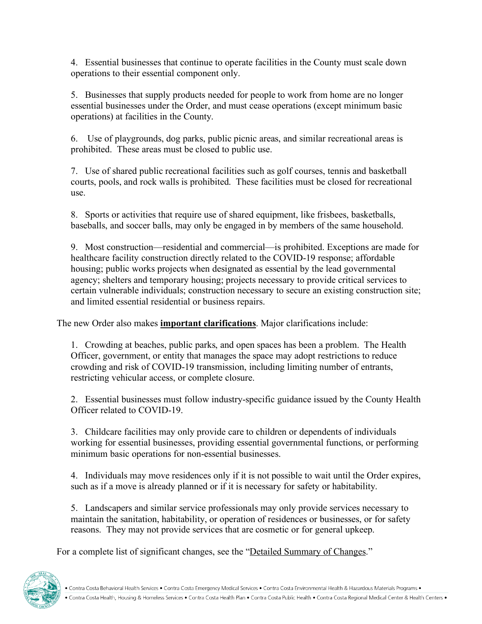4. Essential businesses that continue to operate facilities in the County must scale down operations to their essential component only.

5. Businesses that supply products needed for people to work from home are no longer essential businesses under the Order, and must cease operations (except minimum basic operations) at facilities in the County.

6. Use of playgrounds, dog parks, public picnic areas, and similar recreational areas is prohibited. These areas must be closed to public use.

7. Use of shared public recreational facilities such as golf courses, tennis and basketball courts, pools, and rock walls is prohibited. These facilities must be closed for recreational use.

8. Sports or activities that require use of shared equipment, like frisbees, basketballs, baseballs, and soccer balls, may only be engaged in by members of the same household.

9. Most construction—residential and commercial—is prohibited. Exceptions are made for healthcare facility construction directly related to the COVID-19 response; affordable housing; public works projects when designated as essential by the lead governmental agency; shelters and temporary housing; projects necessary to provide critical services to certain vulnerable individuals; construction necessary to secure an existing construction site; and limited essential residential or business repairs.

The new Order also makes **important clarifications**. Major clarifications include:

1. Crowding at beaches, public parks, and open spaces has been a problem. The Health Officer, government, or entity that manages the space may adopt restrictions to reduce crowding and risk of COVID-19 transmission, including limiting number of entrants, restricting vehicular access, or complete closure.

2. Essential businesses must follow industry-specific guidance issued by the County Health Officer related to COVID-19.

3. Childcare facilities may only provide care to children or dependents of individuals working for essential businesses, providing essential governmental functions, or performing minimum basic operations for non-essential businesses.

4. Individuals may move residences only if it is not possible to wait until the Order expires, such as if a move is already planned or if it is necessary for safety or habitability.

5. Landscapers and similar service professionals may only provide services necessary to maintain the sanitation, habitability, or operation of residences or businesses, or for safety reasons. They may not provide services that are cosmetic or for general upkeep.

For a complete list of significant changes, see the "Detailed Summary of Changes."

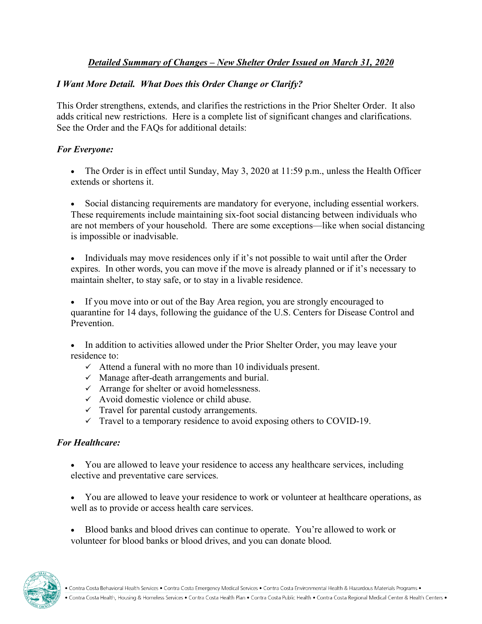# *Detailed Summary of Changes – New Shelter Order Issued on March 31, 2020*

# *I Want More Detail. What Does this Order Change or Clarify?*

This Order strengthens, extends, and clarifies the restrictions in the Prior Shelter Order. It also adds critical new restrictions. Here is a complete list of significant changes and clarifications. See the Order and the FAQs for additional details:

### *For Everyone:*

• The Order is in effect until Sunday, May 3, 2020 at 11:59 p.m., unless the Health Officer extends or shortens it.

Social distancing requirements are mandatory for everyone, including essential workers. These requirements include maintaining six-foot social distancing between individuals who are not members of your household. There are some exceptions—like when social distancing is impossible or inadvisable.

• Individuals may move residences only if it's not possible to wait until after the Order expires. In other words, you can move if the move is already planned or if it's necessary to maintain shelter, to stay safe, or to stay in a livable residence.

If you move into or out of the Bay Area region, you are strongly encouraged to quarantine for 14 days, following the guidance of the U.S. Centers for Disease Control and Prevention.

• In addition to activities allowed under the Prior Shelter Order, you may leave your residence to:

- $\checkmark$  Attend a funeral with no more than 10 individuals present.
- $\checkmark$  Manage after-death arrangements and burial.
- $\checkmark$  Arrange for shelter or avoid homelessness.
- $\checkmark$  Avoid domestic violence or child abuse.
- $\checkmark$  Travel for parental custody arrangements.
- $\checkmark$  Travel to a temporary residence to avoid exposing others to COVID-19.

#### *For Healthcare:*

• You are allowed to leave your residence to access any healthcare services, including elective and preventative care services.

• You are allowed to leave your residence to work or volunteer at healthcare operations, as well as to provide or access health care services.

• Blood banks and blood drives can continue to operate. You're allowed to work or volunteer for blood banks or blood drives, and you can donate blood.

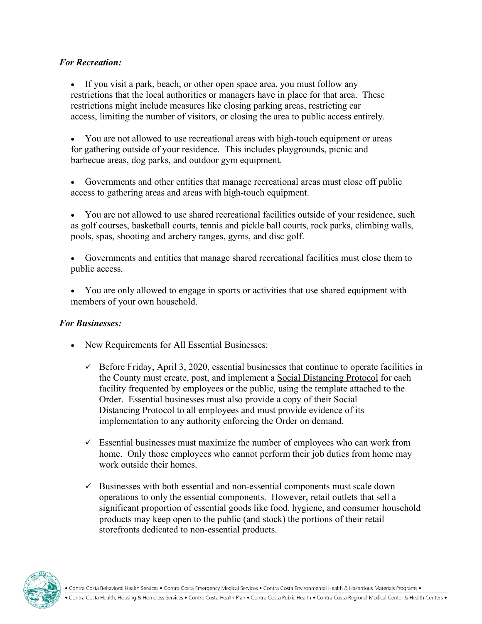## *For Recreation:*

• If you visit a park, beach, or other open space area, you must follow any restrictions that the local authorities or managers have in place for that area. These restrictions might include measures like closing parking areas, restricting car access, limiting the number of visitors, or closing the area to public access entirely.

• You are not allowed to use recreational areas with high-touch equipment or areas for gathering outside of your residence. This includes playgrounds, picnic and barbecue areas, dog parks, and outdoor gym equipment.

Governments and other entities that manage recreational areas must close off public access to gathering areas and areas with high-touch equipment.

• You are not allowed to use shared recreational facilities outside of your residence, such as golf courses, basketball courts, tennis and pickle ball courts, rock parks, climbing walls, pools, spas, shooting and archery ranges, gyms, and disc golf.

- Governments and entities that manage shared recreational facilities must close them to public access.
- You are only allowed to engage in sports or activities that use shared equipment with members of your own household.

# *For Businesses:*

- New Requirements for All Essential Businesses:
	- $\checkmark$  Before Friday, April 3, 2020, essential businesses that continue to operate facilities in the County must create, post, and implement a Social Distancing Protocol for each facility frequented by employees or the public, using the template attached to the Order. Essential businesses must also provide a copy of their Social Distancing Protocol to all employees and must provide evidence of its implementation to any authority enforcing the Order on demand.
	- $\checkmark$  Essential businesses must maximize the number of employees who can work from home. Only those employees who cannot perform their job duties from home may work outside their homes.
	- $\checkmark$  Businesses with both essential and non-essential components must scale down operations to only the essential components. However, retail outlets that sell a significant proportion of essential goods like food, hygiene, and consumer household products may keep open to the public (and stock) the portions of their retail storefronts dedicated to non-essential products.

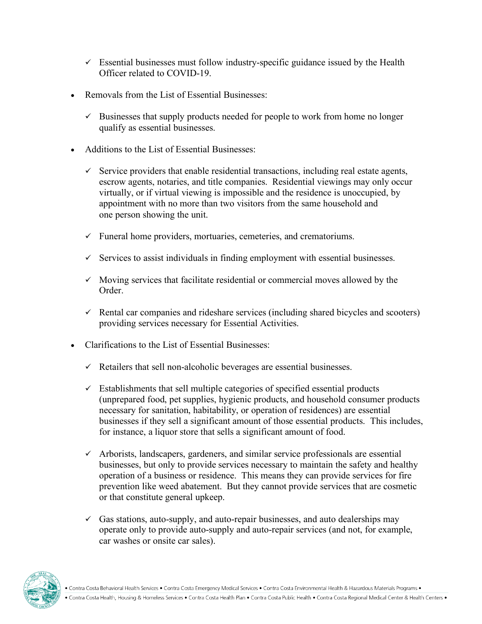- $\checkmark$  Essential businesses must follow industry-specific guidance issued by the Health Officer related to COVID-19.
- Removals from the List of Essential Businesses:
	- $\checkmark$  Businesses that supply products needed for people to work from home no longer qualify as essential businesses.
- Additions to the List of Essential Businesses:
	- $\checkmark$  Service providers that enable residential transactions, including real estate agents, escrow agents, notaries, and title companies. Residential viewings may only occur virtually, or if virtual viewing is impossible and the residence is unoccupied, by appointment with no more than two visitors from the same household and one person showing the unit.
	- $\checkmark$  Funeral home providers, mortuaries, cemeteries, and crematoriums.
	- $\checkmark$  Services to assist individuals in finding employment with essential businesses.
	- $\checkmark$  Moving services that facilitate residential or commercial moves allowed by the Order.
	- $\checkmark$  Rental car companies and rideshare services (including shared bicycles and scooters) providing services necessary for Essential Activities.
- Clarifications to the List of Essential Businesses:
	- $\checkmark$  Retailers that sell non-alcoholic beverages are essential businesses.
	- $\checkmark$  Establishments that sell multiple categories of specified essential products (unprepared food, pet supplies, hygienic products, and household consumer products necessary for sanitation, habitability, or operation of residences) are essential businesses if they sell a significant amount of those essential products. This includes, for instance, a liquor store that sells a significant amount of food.
	- $\checkmark$  Arborists, landscapers, gardeners, and similar service professionals are essential businesses, but only to provide services necessary to maintain the safety and healthy operation of a business or residence. This means they can provide services for fire prevention like weed abatement. But they cannot provide services that are cosmetic or that constitute general upkeep.
	- $\checkmark$  Gas stations, auto-supply, and auto-repair businesses, and auto dealerships may operate only to provide auto-supply and auto-repair services (and not, for example, car washes or onsite car sales).

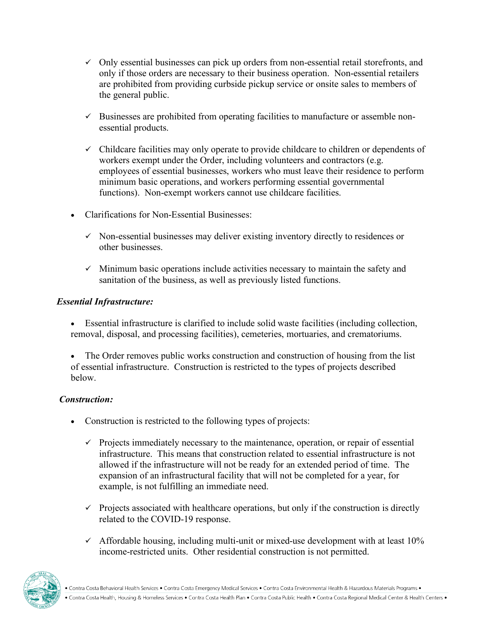- $\checkmark$  Only essential businesses can pick up orders from non-essential retail storefronts, and only if those orders are necessary to their business operation. Non-essential retailers are prohibited from providing curbside pickup service or onsite sales to members of the general public.
- $\checkmark$  Businesses are prohibited from operating facilities to manufacture or assemble nonessential products.
- $\checkmark$  Childcare facilities may only operate to provide childcare to children or dependents of workers exempt under the Order, including volunteers and contractors (e.g. employees of essential businesses, workers who must leave their residence to perform minimum basic operations, and workers performing essential governmental functions). Non-exempt workers cannot use childcare facilities.
- Clarifications for Non-Essential Businesses:
	- $\checkmark$  Non-essential businesses may deliver existing inventory directly to residences or other businesses.
	- $\checkmark$  Minimum basic operations include activities necessary to maintain the safety and sanitation of the business, as well as previously listed functions.

# *Essential Infrastructure:*

- Essential infrastructure is clarified to include solid waste facilities (including collection, removal, disposal, and processing facilities), cemeteries, mortuaries, and crematoriums.
- The Order removes public works construction and construction of housing from the list of essential infrastructure. Construction is restricted to the types of projects described below.

# *Construction:*

- Construction is restricted to the following types of projects:
	- $\checkmark$  Projects immediately necessary to the maintenance, operation, or repair of essential infrastructure. This means that construction related to essential infrastructure is not allowed if the infrastructure will not be ready for an extended period of time. The expansion of an infrastructural facility that will not be completed for a year, for example, is not fulfilling an immediate need.
	- $\checkmark$  Projects associated with healthcare operations, but only if the construction is directly related to the COVID-19 response.
	- $\checkmark$  Affordable housing, including multi-unit or mixed-use development with at least 10% income-restricted units. Other residential construction is not permitted.

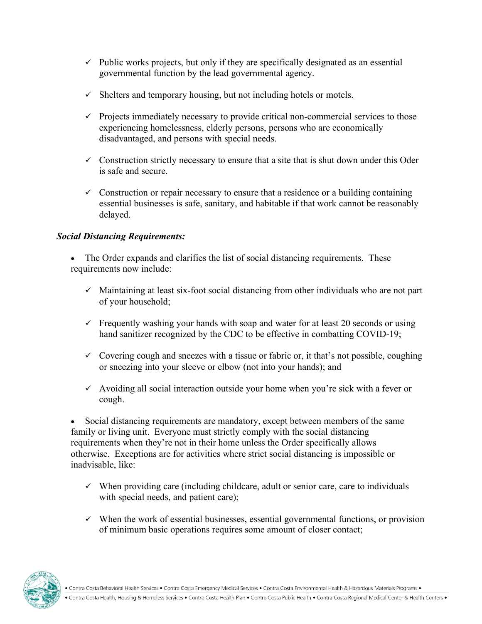- $\checkmark$  Public works projects, but only if they are specifically designated as an essential governmental function by the lead governmental agency.
- $\checkmark$  Shelters and temporary housing, but not including hotels or motels.
- $\checkmark$  Projects immediately necessary to provide critical non-commercial services to those experiencing homelessness, elderly persons, persons who are economically disadvantaged, and persons with special needs.
- $\checkmark$  Construction strictly necessary to ensure that a site that is shut down under this Oder is safe and secure.
- $\checkmark$  Construction or repair necessary to ensure that a residence or a building containing essential businesses is safe, sanitary, and habitable if that work cannot be reasonably delayed.

# *Social Distancing Requirements:*

The Order expands and clarifies the list of social distancing requirements. These requirements now include:

- $\checkmark$  Maintaining at least six-foot social distancing from other individuals who are not part of your household;
- $\checkmark$  Frequently washing your hands with soap and water for at least 20 seconds or using hand sanitizer recognized by the CDC to be effective in combatting COVID-19;
- $\checkmark$  Covering cough and sneezes with a tissue or fabric or, it that's not possible, coughing or sneezing into your sleeve or elbow (not into your hands); and
- $\checkmark$  Avoiding all social interaction outside your home when you're sick with a fever or cough.

Social distancing requirements are mandatory, except between members of the same family or living unit. Everyone must strictly comply with the social distancing requirements when they're not in their home unless the Order specifically allows otherwise. Exceptions are for activities where strict social distancing is impossible or inadvisable, like:

- $\checkmark$  When providing care (including childcare, adult or senior care, care to individuals with special needs, and patient care);
- $\checkmark$  When the work of essential businesses, essential governmental functions, or provision of minimum basic operations requires some amount of closer contact;